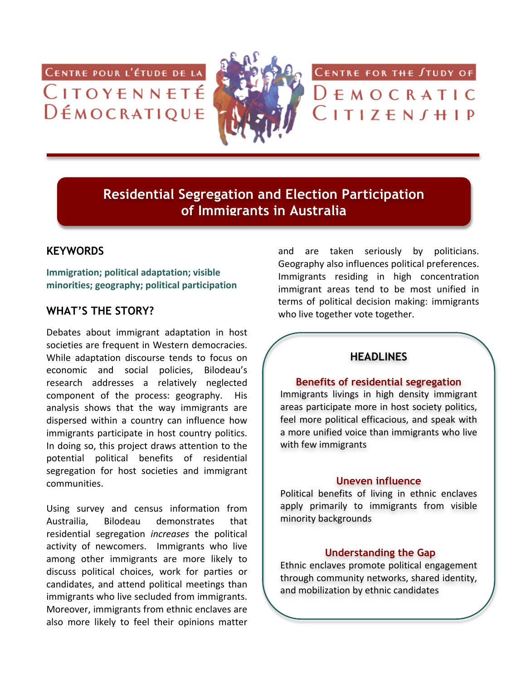CENTRE POUR L'ÉTUDE DE LA CITOYENNETÉ  $D$  $\n *EMOCRATIQUE*\n$ 



CENTRE FOR THE STUDY OF

 $D \in M$  O C R A T I C  $\overline{C}$  I T I Z  $\overline{E}$  N  $\overline{J}$  H I P

**Residential Segregation and Election Participation of Immigrants in Australia**

## **KEYWORDS**

**Immigration; political adaptation; visible minorities;+geography;+political+participation**

## **WHAT'S THE STORY?**

Debates about immigrant adaptation in host societies are frequent in Western democracies. While adaptation discourse tends to focus on economic and social policies. Bilodeau's research addresses a relatively neglected component of the process: geography. His analysis shows that the way immigrants are dispersed within a country can influence how immigrants participate in host country politics. In doing so, this project draws attention to the potential political benefits of residential segregation for host societies and immigrant communities.'

Using survey and census information from Austrailia, Bilodeau demonstrates that residential' segregation' *increases*' the' political' activity of newcomers. Immigrants who live among other immigrants are more likely to discuss political choices, work for parties or candidates, and attend political meetings than immigrants who live secluded from immigrants. Moreover, immigrants from ethnic enclaves are also more likely to feel their opinions matter

and are taken seriously by politicians. Geography also influences political preferences. Immigrants residing in high concentration immigrant areas tend to be most unified in terms of political decision making: immigrants who live together vote together.

# **HEADLINES**

#### **Benefits of residential segregation**

Immigrants livings in high density immigrant areas participate more in host society politics, feel more political efficacious, and speak with a more unified voice than immigrants who live with few immigrants

#### **Uneven influence**

Political benefits of living in ethnic enclaves apply primarily to immigrants from visible minority backgrounds

#### **Understanding the Gap**

Ethnic enclaves promote political engagement through community networks, shared identity, and mobilization by ethnic candidates